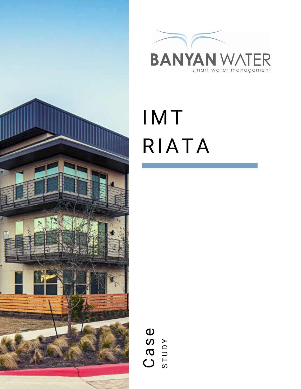



# IMT RIATA

Case<br>
STUDY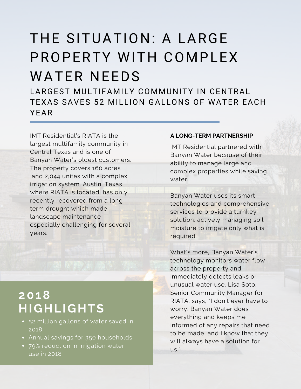## THE SITUATION: A LARGE PROPERTY WITH COMPLEX WATER NEEDS

LARGEST MULTIFAMILY COMMUNITY IN CENTRAL TEXAS SAVES 52 MILLION GALLONS OF WATER EACH YEAR

IMT Residential's RIATA is the largest multifamily community in Central Texas and is one of Banyan Water's oldest customers. The property covers 160 acres and 2,044 unites with a complex irrigation system. Austin, Texas, where RIATA is located, has only recently recovered from a longterm drought which made landscape maintenance especially challenging for several years.

### **2018 HIGHLIGHTS**

- 52 million gallons of water saved in 2018
- Annual savings for 350 households
- 79% reduction in irrigation water use in 2018

#### **A LONG-TERM PARTNERSHIP**

IMT Residential partnered with Banyan Water because of their ability to manage large and complex properties while saving water.

Banyan Water uses its smart technologies and comprehensive services to provide a turnkey solution: actively managing soil moisture to irrigate only what is required.

What's more, Banyan Water's technology monitors water flow across the property and immediately detects leaks or unusual water use. Lisa Soto, Senior Community Manager for RIATA, says, "I don't ever have to worry. Banyan Water does everything and keeps me informed of any repairs that need to be made, and I know that they will always have a solution for us."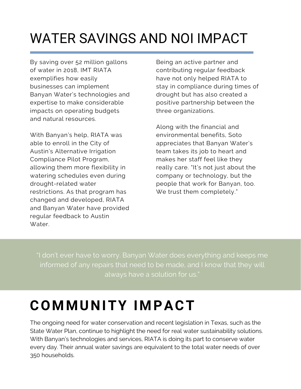### WATER SAVINGS AND NOI IMPACT

By saving over 52 million gallons of water in 2018, IMT RIATA exemplifies how easily businesses can implement Banyan Water's technologies and expertise to make considerable impacts on operating budgets and natural resources.

With Banyan's help, RIATA was able to enroll in the City of Austin's Alternative Irrigation Compliance Pilot Program, allowing them more flexibility in watering schedules even during drought-related water restrictions. As that program has changed and developed, RIATA and Banyan Water have provided regular feedback to Austin Water.

Being an active partner and contributing regular feedback have not only helped RIATA to stay in compliance during times of drought but has also created a positive partnership between the three organizations.

Along with the financial and environmental benefits, Soto appreciates that Banyan Water's team takes its job to heart and makes her staff feel like they really care. "It's not just about the company or technology, but the people that work for Banyan, too. We trust them completely."

"I don't ever have to worry. Banyan Water does everything and keeps me informed of any repairs that need to be made, and I know that they will always have a solution for us."

### **COMMUNITY IMPACT**

The ongoing need for water conservation and recent legislation in Texas, such as the State Water Plan, continue to highlight the need for real water sustainability solutions. With Banyan's technologies and services, RIATA is doing its part to conserve water every day. Their annual water savings are equivalent to the total water needs of over 350 households.